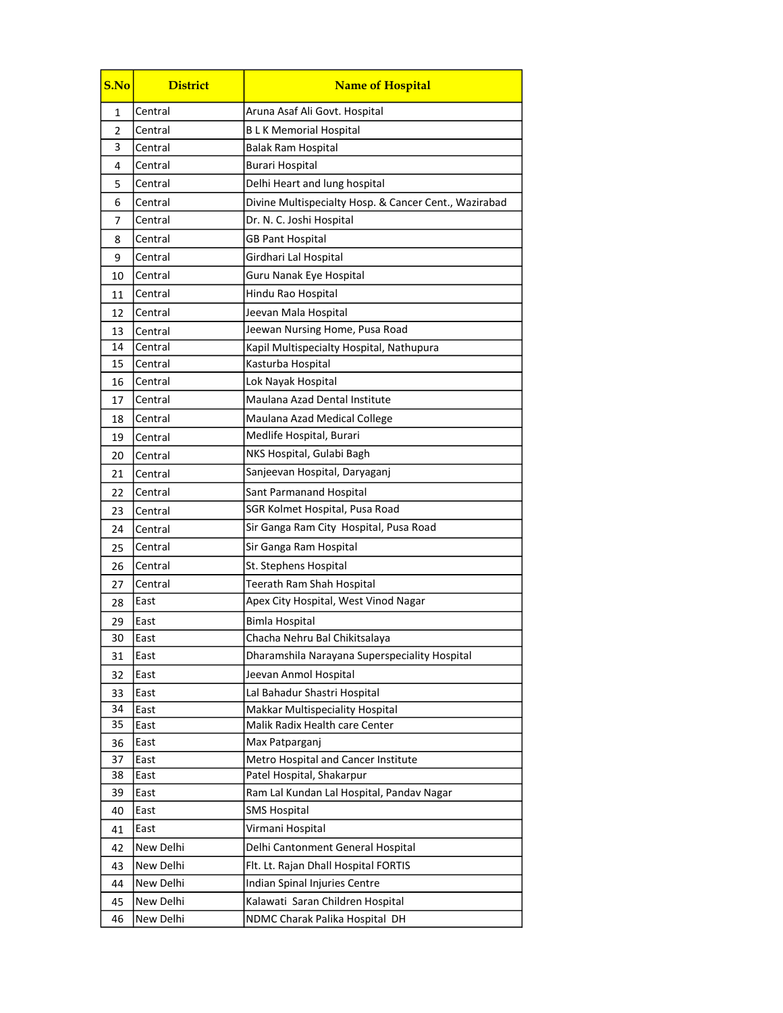| S.No | <b>District</b> | <b>Name of Hospital</b>                               |
|------|-----------------|-------------------------------------------------------|
| 1    | Central         | Aruna Asaf Ali Govt. Hospital                         |
| 2    | Central         | <b>BLK Memorial Hospital</b>                          |
| 3    | Central         | <b>Balak Ram Hospital</b>                             |
| 4    | Central         | <b>Burari Hospital</b>                                |
| 5    | Central         | Delhi Heart and lung hospital                         |
| 6    | Central         | Divine Multispecialty Hosp. & Cancer Cent., Wazirabad |
| 7    | Central         | Dr. N. C. Joshi Hospital                              |
| 8    | Central         | <b>GB Pant Hospital</b>                               |
| 9    | Central         | Girdhari Lal Hospital                                 |
| 10   | Central         | Guru Nanak Eye Hospital                               |
| 11   | Central         | Hindu Rao Hospital                                    |
| 12   | Central         | Jeevan Mala Hospital                                  |
| 13   | Central         | Jeewan Nursing Home, Pusa Road                        |
| 14   | Central         | Kapil Multispecialty Hospital, Nathupura              |
| 15   | Central         | Kasturba Hospital                                     |
| 16   | Central         | Lok Nayak Hospital                                    |
| 17   | Central         | Maulana Azad Dental Institute                         |
| 18   | Central         | Maulana Azad Medical College                          |
| 19   | Central         | Medlife Hospital, Burari                              |
| 20   | Central         | NKS Hospital, Gulabi Bagh                             |
| 21   | Central         | Sanjeevan Hospital, Daryaganj                         |
| 22   | Central         | Sant Parmanand Hospital                               |
| 23   | Central         | SGR Kolmet Hospital, Pusa Road                        |
| 24   | Central         | Sir Ganga Ram City Hospital, Pusa Road                |
| 25   | Central         | Sir Ganga Ram Hospital                                |
| 26   | Central         | St. Stephens Hospital                                 |
| 27   | Central         | Teerath Ram Shah Hospital                             |
| 28   | East            | Apex City Hospital, West Vinod Nagar                  |
| 29   | East            | <b>Bimla Hospital</b>                                 |
| 30   | East            | Chacha Nehru Bal Chikitsalaya                         |
| 31   | East            | Dharamshila Narayana Superspeciality Hospital         |
| 32   | East            | Jeevan Anmol Hospital                                 |
| 33   | East            | Lal Bahadur Shastri Hospital                          |
| 34   | East            | Makkar Multispeciality Hospital                       |
| 35   | East            | Malik Radix Health care Center                        |
| 36   | East            | Max Patparganj                                        |
| 37   | East            | Metro Hospital and Cancer Institute                   |
| 38   | East            | Patel Hospital, Shakarpur                             |
| 39   | East            | Ram Lal Kundan Lal Hospital, Pandav Nagar             |
| 40   | East            | <b>SMS Hospital</b>                                   |
| 41   | East            | Virmani Hospital                                      |
| 42   | New Delhi       | Delhi Cantonment General Hospital                     |
| 43   | New Delhi       | Flt. Lt. Rajan Dhall Hospital FORTIS                  |
| 44   | New Delhi       | Indian Spinal Injuries Centre                         |
| 45   | New Delhi       | Kalawati Saran Children Hospital                      |
| 46   | New Delhi       | NDMC Charak Palika Hospital DH                        |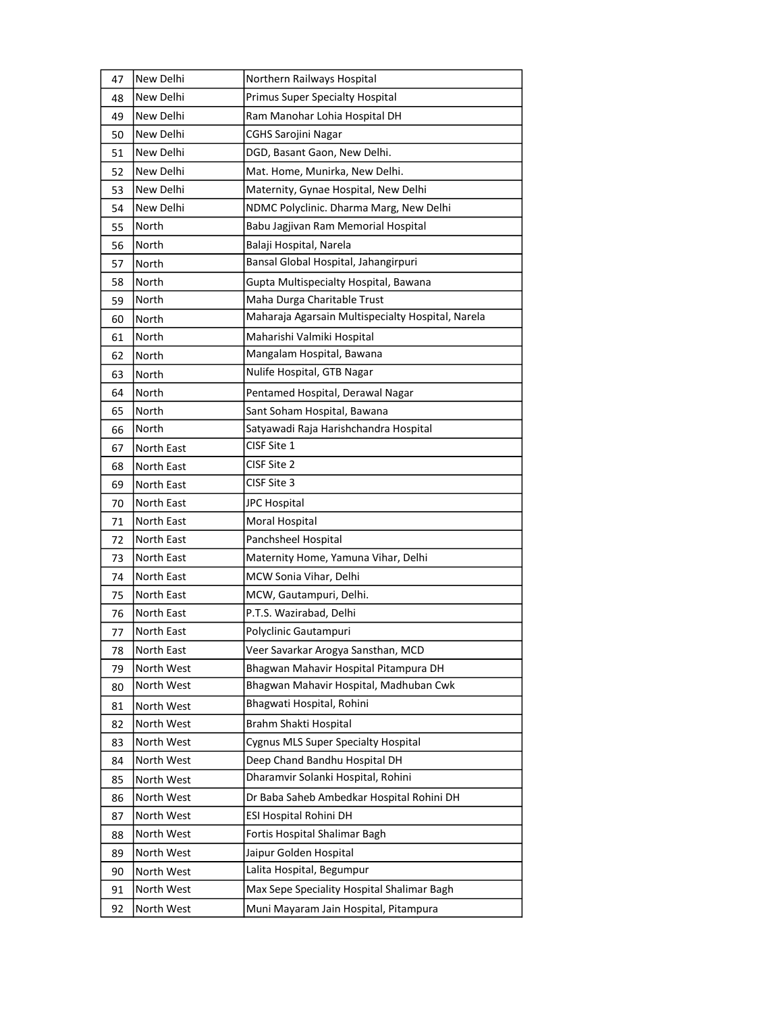| 47 | New Delhi  | Northern Railways Hospital                        |
|----|------------|---------------------------------------------------|
| 48 | New Delhi  | Primus Super Specialty Hospital                   |
| 49 | New Delhi  | Ram Manohar Lohia Hospital DH                     |
| 50 | New Delhi  | <b>CGHS Sarojini Nagar</b>                        |
| 51 | New Delhi  | DGD, Basant Gaon, New Delhi.                      |
| 52 | New Delhi  | Mat. Home, Munirka, New Delhi.                    |
| 53 | New Delhi  | Maternity, Gynae Hospital, New Delhi              |
| 54 | New Delhi  | NDMC Polyclinic. Dharma Marg, New Delhi           |
| 55 | North      | Babu Jagjivan Ram Memorial Hospital               |
| 56 | North      | Balaji Hospital, Narela                           |
| 57 | North      | Bansal Global Hospital, Jahangirpuri              |
| 58 | North      | Gupta Multispecialty Hospital, Bawana             |
| 59 | North      | Maha Durga Charitable Trust                       |
| 60 | North      | Maharaja Agarsain Multispecialty Hospital, Narela |
| 61 | North      | Maharishi Valmiki Hospital                        |
| 62 | North      | Mangalam Hospital, Bawana                         |
| 63 | North      | Nulife Hospital, GTB Nagar                        |
| 64 | North      | Pentamed Hospital, Derawal Nagar                  |
| 65 | North      | Sant Soham Hospital, Bawana                       |
| 66 | North      | Satyawadi Raja Harishchandra Hospital             |
| 67 | North East | CISF Site 1                                       |
| 68 | North East | CISF Site 2                                       |
| 69 | North East | CISF Site 3                                       |
| 70 | North East | <b>JPC Hospital</b>                               |
| 71 | North East | Moral Hospital                                    |
| 72 | North East | Panchsheel Hospital                               |
| 73 | North East | Maternity Home, Yamuna Vihar, Delhi               |
| 74 | North East | MCW Sonia Vihar, Delhi                            |
| 75 | North East | MCW, Gautampuri, Delhi.                           |
| 76 | North East | P.T.S. Wazirabad, Delhi                           |
| 77 | North East | Polyclinic Gautampuri                             |
| 78 | North East | Veer Savarkar Arogya Sansthan, MCD                |
| 79 | North West | Bhagwan Mahavir Hospital Pitampura DH             |
| 80 | North West | Bhagwan Mahavir Hospital, Madhuban Cwk            |
| 81 | North West | Bhagwati Hospital, Rohini                         |
| 82 | North West | Brahm Shakti Hospital                             |
| 83 | North West | <b>Cygnus MLS Super Specialty Hospital</b>        |
| 84 | North West | Deep Chand Bandhu Hospital DH                     |
| 85 | North West | Dharamvir Solanki Hospital, Rohini                |
| 86 | North West | Dr Baba Saheb Ambedkar Hospital Rohini DH         |
| 87 | North West | ESI Hospital Rohini DH                            |
| 88 | North West | Fortis Hospital Shalimar Bagh                     |
| 89 | North West | Jaipur Golden Hospital                            |
| 90 | North West | Lalita Hospital, Begumpur                         |
| 91 | North West | Max Sepe Speciality Hospital Shalimar Bagh        |
| 92 | North West | Muni Mayaram Jain Hospital, Pitampura             |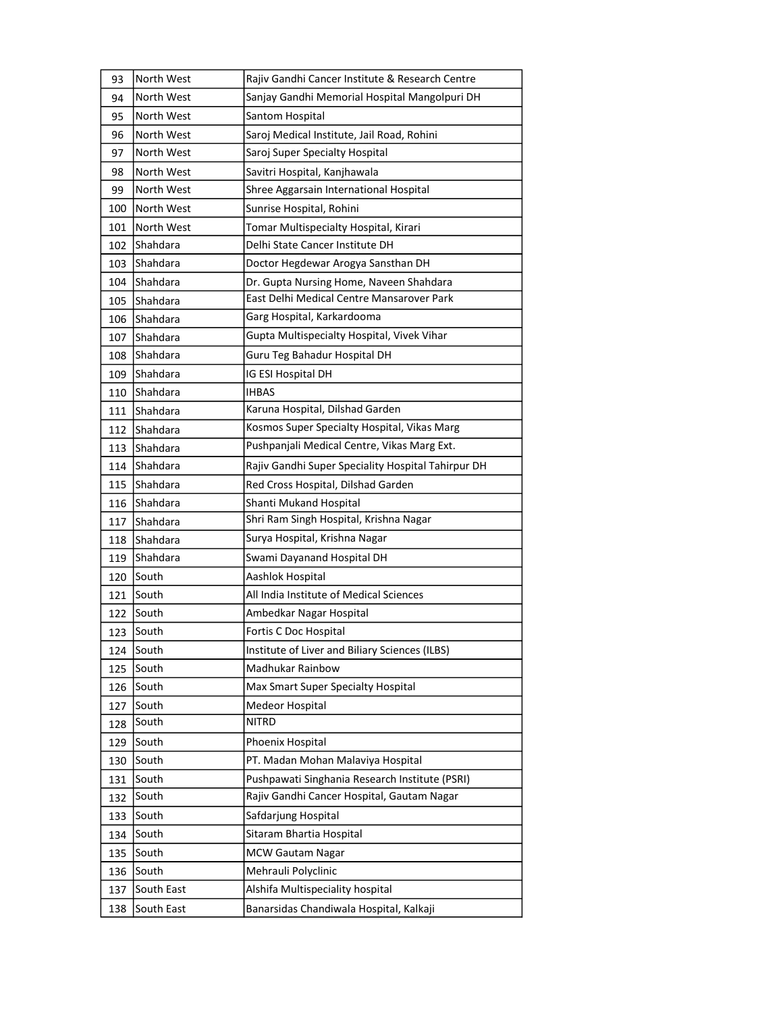| 93  | North West      | Rajiv Gandhi Cancer Institute & Research Centre    |
|-----|-----------------|----------------------------------------------------|
| 94  | North West      | Sanjay Gandhi Memorial Hospital Mangolpuri DH      |
| 95  | North West      | Santom Hospital                                    |
| 96  | North West      | Saroj Medical Institute, Jail Road, Rohini         |
| 97  | North West      | Saroj Super Specialty Hospital                     |
| 98  | North West      | Savitri Hospital, Kanjhawala                       |
| 99  | North West      | Shree Aggarsain International Hospital             |
| 100 | North West      | Sunrise Hospital, Rohini                           |
| 101 | North West      | Tomar Multispecialty Hospital, Kirari              |
| 102 | Shahdara        | Delhi State Cancer Institute DH                    |
| 103 | Shahdara        | Doctor Hegdewar Arogya Sansthan DH                 |
| 104 | Shahdara        | Dr. Gupta Nursing Home, Naveen Shahdara            |
| 105 | Shahdara        | East Delhi Medical Centre Mansarover Park          |
| 106 | <b>Shahdara</b> | Garg Hospital, Karkardooma                         |
| 107 | Shahdara        | Gupta Multispecialty Hospital, Vivek Vihar         |
| 108 | Shahdara        | Guru Teg Bahadur Hospital DH                       |
| 109 | Shahdara        | IG ESI Hospital DH                                 |
| 110 | Shahdara        | <b>IHBAS</b>                                       |
| 111 | <b>Shahdara</b> | Karuna Hospital, Dilshad Garden                    |
| 112 | Shahdara        | Kosmos Super Specialty Hospital, Vikas Marg        |
| 113 | Shahdara        | Pushpanjali Medical Centre, Vikas Marg Ext.        |
| 114 | Shahdara        | Rajiv Gandhi Super Speciality Hospital Tahirpur DH |
| 115 | Shahdara        | Red Cross Hospital, Dilshad Garden                 |
| 116 | Shahdara        | Shanti Mukand Hospital                             |
| 117 | Shahdara        | Shri Ram Singh Hospital, Krishna Nagar             |
| 118 | Shahdara        | Surya Hospital, Krishna Nagar                      |
| 119 | Shahdara        | Swami Dayanand Hospital DH                         |
| 120 | South           | Aashlok Hospital                                   |
| 121 | South           | All India Institute of Medical Sciences            |
| 122 | South           | Ambedkar Nagar Hospital                            |
| 123 | South           | Fortis C Doc Hospital                              |
| 124 | South           | Institute of Liver and Biliary Sciences (ILBS)     |
| 125 | South           | Madhukar Rainbow                                   |
| 126 | South           | Max Smart Super Specialty Hospital                 |
| 127 | South           | Medeor Hospital                                    |
| 128 | South           | <b>NITRD</b>                                       |
| 129 | South           | Phoenix Hospital                                   |
| 130 | South           | PT. Madan Mohan Malaviya Hospital                  |
| 131 | South           | Pushpawati Singhania Research Institute (PSRI)     |
| 132 | South           | Rajiv Gandhi Cancer Hospital, Gautam Nagar         |
| 133 | South           | Safdarjung Hospital                                |
| 134 | South           | Sitaram Bhartia Hospital                           |
| 135 | South           | <b>MCW Gautam Nagar</b>                            |
| 136 | South           | Mehrauli Polyclinic                                |
| 137 | South East      | Alshifa Multispeciality hospital                   |
|     |                 |                                                    |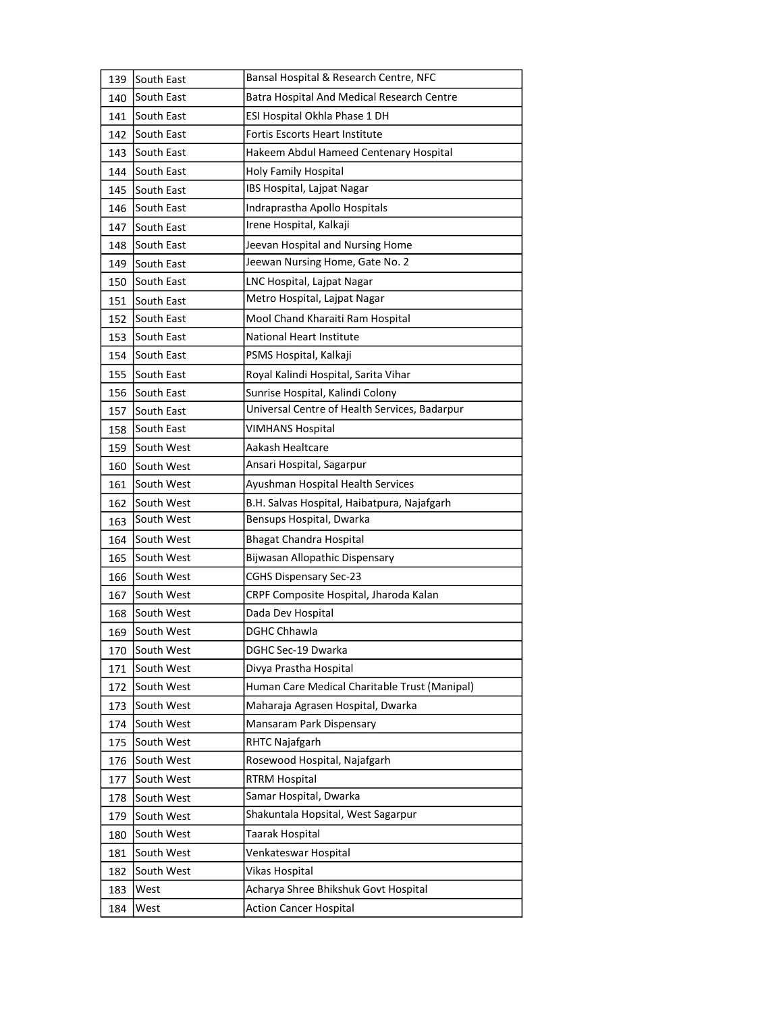| 139 | South East        | Bansal Hospital & Research Centre, NFC            |
|-----|-------------------|---------------------------------------------------|
| 140 | South East        | <b>Batra Hospital And Medical Research Centre</b> |
| 141 | <b>South East</b> | ESI Hospital Okhla Phase 1 DH                     |
| 142 | South East        | <b>Fortis Escorts Heart Institute</b>             |
| 143 | South East        | Hakeem Abdul Hameed Centenary Hospital            |
| 144 | South East        | Holy Family Hospital                              |
| 145 | South East        | IBS Hospital, Lajpat Nagar                        |
| 146 | South East        | Indraprastha Apollo Hospitals                     |
| 147 | South East        | Irene Hospital, Kalkaji                           |
| 148 | South East        | Jeevan Hospital and Nursing Home                  |
| 149 | South East        | Jeewan Nursing Home, Gate No. 2                   |
| 150 | South East        | LNC Hospital, Lajpat Nagar                        |
| 151 | South East        | Metro Hospital, Lajpat Nagar                      |
| 152 | South East        | Mool Chand Kharaiti Ram Hospital                  |
| 153 | South East        | <b>National Heart Institute</b>                   |
| 154 | South East        | PSMS Hospital, Kalkaji                            |
| 155 | South East        | Royal Kalindi Hospital, Sarita Vihar              |
| 156 | South East        | Sunrise Hospital, Kalindi Colony                  |
| 157 | South East        | Universal Centre of Health Services, Badarpur     |
| 158 | South East        | <b>VIMHANS Hospital</b>                           |
| 159 | South West        | Aakash Healtcare                                  |
| 160 | South West        | Ansari Hospital, Sagarpur                         |
| 161 | South West        | Ayushman Hospital Health Services                 |
| 162 | South West        | B.H. Salvas Hospital, Haibatpura, Najafgarh       |
| 163 | South West        | Bensups Hospital, Dwarka                          |
| 164 | South West        | <b>Bhagat Chandra Hospital</b>                    |
| 165 | South West        | Bijwasan Allopathic Dispensary                    |
| 166 | South West        | <b>CGHS Dispensary Sec-23</b>                     |
| 167 | South West        | CRPF Composite Hospital, Jharoda Kalan            |
| 168 |                   |                                                   |
|     | South West        | Dada Dev Hospital                                 |
| 169 | South West        | <b>DGHC Chhawla</b>                               |
| 170 | South West        | DGHC Sec-19 Dwarka                                |
| 171 | South West        | Divya Prastha Hospital                            |
| 172 | South West        | Human Care Medical Charitable Trust (Manipal)     |
| 173 | South West        | Maharaja Agrasen Hospital, Dwarka                 |
| 174 | South West        | Mansaram Park Dispensary                          |
| 175 | South West        | RHTC Najafgarh                                    |
| 176 | South West        | Rosewood Hospital, Najafgarh                      |
| 177 | South West        | <b>RTRM Hospital</b>                              |
| 178 | South West        | Samar Hospital, Dwarka                            |
| 179 | South West        | Shakuntala Hopsital, West Sagarpur                |
| 180 | South West        | Taarak Hospital                                   |
| 181 | South West        | Venkateswar Hospital                              |
| 182 | South West        | Vikas Hospital                                    |
| 183 | West              | Acharya Shree Bhikshuk Govt Hospital              |